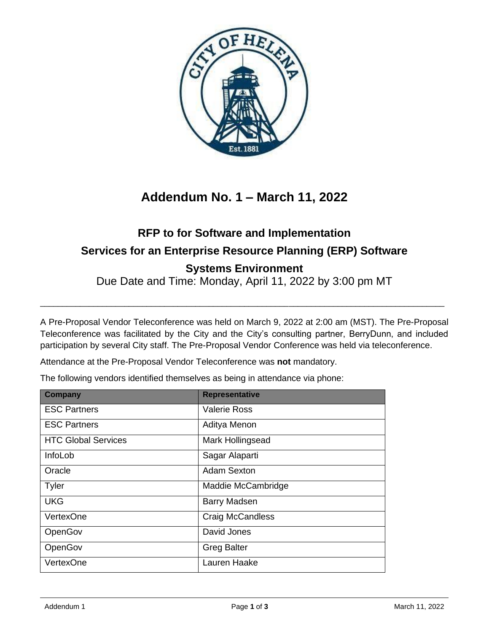

## **Addendum No. 1 – March 11, 2022**

## **RFP to for Software and Implementation Services for an Enterprise Resource Planning (ERP) Software Systems Environment**

Due Date and Time: Monday, April 11, 2022 by 3:00 pm MT

 $\_$  ,  $\_$  ,  $\_$  ,  $\_$  ,  $\_$  ,  $\_$  ,  $\_$  ,  $\_$  ,  $\_$  ,  $\_$  ,  $\_$  ,  $\_$  ,  $\_$  ,  $\_$  ,  $\_$  ,  $\_$  ,  $\_$  ,  $\_$  ,  $\_$  ,  $\_$  ,  $\_$  ,  $\_$  ,  $\_$  ,  $\_$  ,  $\_$  ,  $\_$  ,  $\_$  ,  $\_$  ,  $\_$  ,  $\_$  ,  $\_$  ,  $\_$  ,  $\_$  ,  $\_$  ,  $\_$  ,  $\_$  ,  $\_$  ,

A Pre-Proposal Vendor Teleconference was held on March 9, 2022 at 2:00 am (MST). The Pre-Proposal Teleconference was facilitated by the City and the City's consulting partner, BerryDunn, and included participation by several City staff. The Pre-Proposal Vendor Conference was held via teleconference.

Attendance at the Pre-Proposal Vendor Teleconference was **not** mandatory.

The following vendors identified themselves as being in attendance via phone:

| <b>Company</b>             | <b>Representative</b>   |
|----------------------------|-------------------------|
| <b>ESC Partners</b>        | <b>Valerie Ross</b>     |
| <b>ESC Partners</b>        | Aditya Menon            |
| <b>HTC Global Services</b> | Mark Hollingsead        |
| InfoLob                    | Sagar Alaparti          |
| Oracle                     | <b>Adam Sexton</b>      |
| Tyler                      | Maddie McCambridge      |
| <b>UKG</b>                 | <b>Barry Madsen</b>     |
| VertexOne                  | <b>Craig McCandless</b> |
| OpenGov                    | David Jones             |
| OpenGov                    | <b>Greg Balter</b>      |
| VertexOne                  | Lauren Haake            |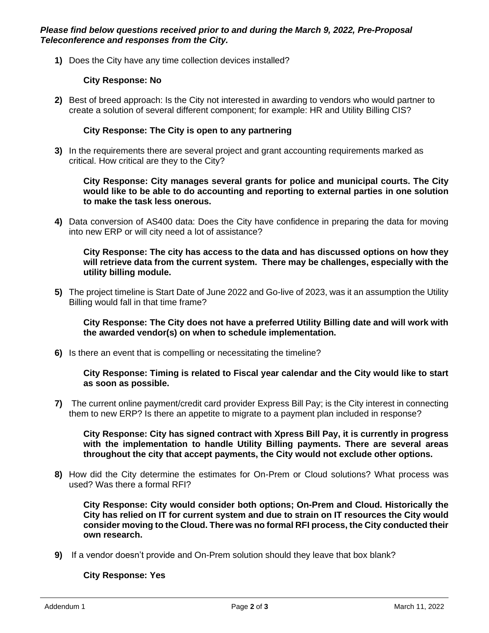**1)** Does the City have any time collection devices installed?

## **City Response: No**

**2)** Best of breed approach: Is the City not interested in awarding to vendors who would partner to create a solution of several different component; for example: HR and Utility Billing CIS?

## **City Response: The City is open to any partnering**

**3)** In the requirements there are several project and grant accounting requirements marked as critical. How critical are they to the City?

**City Response: City manages several grants for police and municipal courts. The City would like to be able to do accounting and reporting to external parties in one solution to make the task less onerous.** 

**4)** Data conversion of AS400 data: Does the City have confidence in preparing the data for moving into new ERP or will city need a lot of assistance?

**City Response: The city has access to the data and has discussed options on how they will retrieve data from the current system. There may be challenges, especially with the utility billing module.** 

**5)** The project timeline is Start Date of June 2022 and Go-live of 2023, was it an assumption the Utility Billing would fall in that time frame?

**City Response: The City does not have a preferred Utility Billing date and will work with the awarded vendor(s) on when to schedule implementation.** 

**6)** Is there an event that is compelling or necessitating the timeline?

**City Response: Timing is related to Fiscal year calendar and the City would like to start as soon as possible.**

**7)** The current online payment/credit card provider Express Bill Pay; is the City interest in connecting them to new ERP? Is there an appetite to migrate to a payment plan included in response?

**City Response: City has signed contract with Xpress Bill Pay, it is currently in progress with the implementation to handle Utility Billing payments. There are several areas throughout the city that accept payments, the City would not exclude other options.** 

**8)** How did the City determine the estimates for On-Prem or Cloud solutions? What process was used? Was there a formal RFI?

**City Response: City would consider both options; On-Prem and Cloud. Historically the City has relied on IT for current system and due to strain on IT resources the City would consider moving to the Cloud. There was no formal RFI process, the City conducted their own research.**

**9)** If a vendor doesn't provide and On-Prem solution should they leave that box blank?

**City Response: Yes**